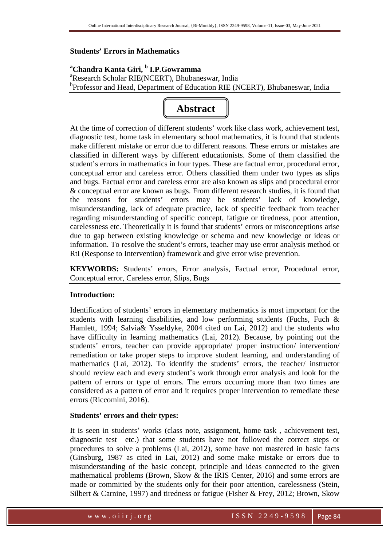# **Students' Errors in Mathematics**

**<sup>a</sup>Chandra Kanta Giri, <sup>b</sup> I.P.Gowramma**  <sup>a</sup>Research Scholar RIE(NCERT), Bhubaneswar, India <sup>b</sup>Professor and Head, Department of Education RIE (NCERT), Bhubaneswar, India



At the time of correction of different students' work like class work, achievement test, diagnostic test, home task in elementary school mathematics, it is found that students make different mistake or error due to different reasons. These errors or mistakes are classified in different ways by different educationists. Some of them classified the student's errors in mathematics in four types. These are factual error, procedural error, conceptual error and careless error. Others classified them under two types as slips and bugs. Factual error and careless error are also known as slips and procedural error & conceptual error are known as bugs. From different research studies, it is found that the reasons for students' errors may be students' lack of knowledge, misunderstanding, lack of adequate practice, lack of specific feedback from teacher regarding misunderstanding of specific concept, fatigue or tiredness, poor attention, carelessness etc. Theoretically it is found that students' errors or misconceptions arise due to gap between existing knowledge or schema and new knowledge or ideas or information. To resolve the student's errors, teacher may use error analysis method or RtI (Response to Intervention) framework and give error wise prevention.

**KEYWORDS:** Students' errors, Error analysis, Factual error, Procedural error, Conceptual error, Careless error, Slips, Bugs

# **Introduction:**

Identification of students' errors in elementary mathematics is most important for the students with learning disabilities, and low performing students (Fuchs, Fuch & Hamlett, 1994; Salvia& Ysseldyke, 2004 cited on Lai, 2012) and the students who have difficulty in learning mathematics (Lai, 2012). Because, by pointing out the students' errors, teacher can provide appropriate/ proper instruction/ intervention/ remediation or take proper steps to improve student learning, and understanding of mathematics (Lai, 2012). To identify the students' errors, the teacher/ instructor should review each and every student's work through error analysis and look for the pattern of errors or type of errors. The errors occurring more than two times are considered as a pattern of error and it requires proper intervention to remediate these errors (Riccomini, 2016).

#### **Students' errors and their types:**

It is seen in students' works (class note, assignment, home task , achievement test, diagnostic test etc.) that some students have not followed the correct steps or procedures to solve a problems (Lai, 2012), some have not mastered in basic facts (Ginsburg, 1987 as cited in Lai, 2012) and some make mistake or errors due to misunderstanding of the basic concept, principle and ideas connected to the given mathematical problems (Brown, Skow & the IRIS Center, 2016) and some errors are made or committed by the students only for their poor attention, carelessness (Stein, Silbert & Carnine, 1997) and tiredness or fatigue (Fisher & Frey, 2012; Brown, Skow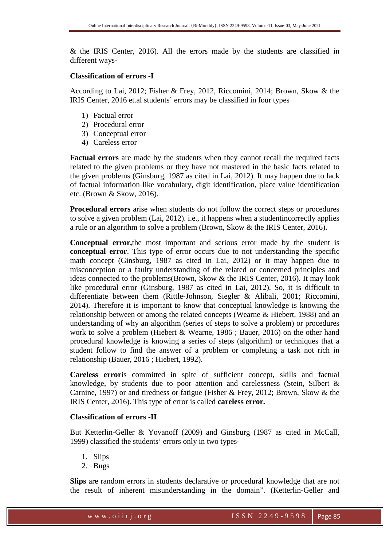& the IRIS Center, 2016). All the errors made by the students are classified in different ways-

### **Classification of errors -I**

According to Lai, 2012; Fisher & Frey, 2012, Riccomini, 2014; Brown, Skow & the IRIS Center, 2016 et.al students' errors may be classified in four types

- 1) Factual error
- 2) Procedural error
- 3) Conceptual error
- 4) Careless error

**Factual errors** are made by the students when they cannot recall the required facts related to the given problems or they have not mastered in the basic facts related to the given problems (Ginsburg, 1987 as cited in Lai, 2012). It may happen due to lack of factual information like vocabulary, digit identification, place value identification etc. (Brown & Skow, 2016).

**Procedural errors** arise when students do not follow the correct steps or procedures to solve a given problem (Lai, 2012). i.e., it happens when a studentincorrectly applies a rule or an algorithm to solve a problem (Brown, Skow & the IRIS Center, 2016).

**Conceptual error,**the most important and serious error made by the student is **conceptual error**. This type of error occurs due to not understanding the specific math concept (Ginsburg, 1987 as cited in Lai, 2012) or it may happen due to misconception or a faulty understanding of the related or concerned principles and ideas connected to the problems(Brown, Skow & the IRIS Center, 2016). It may look like procedural error (Ginsburg, 1987 as cited in Lai, 2012). So, it is difficult to differentiate between them (Rittle-Johnson, Siegler & Alibali, 2001; Riccomini, 2014). Therefore it is important to know that conceptual knowledge is knowing the relationship between or among the related concepts (Wearne & Hiebert, 1988) and an understanding of why an algorithm (series of steps to solve a problem) or procedures work to solve a problem (Hiebert & Wearne, 1986 ; Bauer, 2016) on the other hand procedural knowledge is knowing a series of steps (algorithm) or techniques that a student follow to find the answer of a problem or completing a task not rich in relationship (Bauer, 2016 ; Hiebert, 1992).

**Careless error**is committed in spite of sufficient concept, skills and factual knowledge, by students due to poor attention and carelessness (Stein, Silbert & Carnine, 1997) or and tiredness or fatigue (Fisher & Frey, 2012; Brown, Skow & the IRIS Center, 2016). This type of error is called **careless error.** 

# **Classification of errors -II**

But Ketterlin-Geller & Yovanoff (2009) and Ginsburg (1987 as cited in McCall, 1999) classified the students' errors only in two types-

- 1. Slips
- 2. Bugs

**Slips** are random errors in students declarative or procedural knowledge that are not the result of inherent misunderstanding in the domain". (Ketterlin-Geller and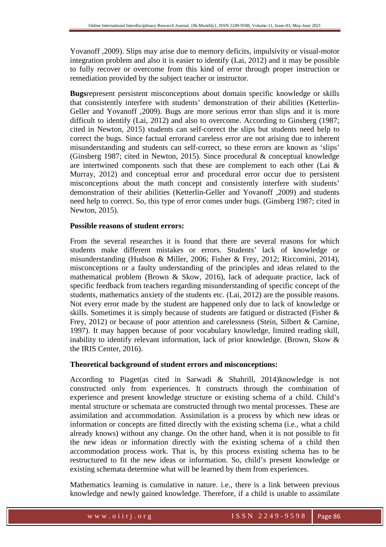Yovanoff ,2009). Slips may arise due to memory deficits, impulsivity or visual-motor integration problem and also it is easier to identify (Lai, 2012) and it may be possible to fully recover or overcome from this kind of error through proper instruction or remediation provided by the subject teacher or instructor.

**Bugs**represent persistent misconceptions about domain specific knowledge or skills that consistently interfere with students' demonstration of their abilities (Ketterlin-Geller and Yovanoff ,2009). Bugs are more serious error than slips and it is more difficult to identify (Lai, 2012) and also to overcome. According to Ginsberg (1987; cited in Newton, 2015) students can self-correct the slips but students need help to correct the bugs. Since factual errorand careless error are not arising due to inherent misunderstanding and students can self-correct, so these errors are known as 'slips' (Ginsberg 1987; cited in Newton, 2015). Since procedural & conceptual knowledge are intertwined components such that these are complement to each other (Lai & Murray, 2012) and conceptual error and procedural error occur due to persistent misconceptions about the math concept and consistently interfere with students' demonstration of their abilities (Ketterlin-Geller and Yovanoff ,2009) and students need help to correct. So, this type of error comes under bugs. (Ginsberg 1987; cited in Newton, 2015).

# **Possible reasons of student errors:**

From the several researches it is found that there are several reasons for which students make different mistakes or errors. Students' lack of knowledge or misunderstanding (Hudson & Miller, 2006; Fisher & Frey, 2012; Riccomini, 2014), misconceptions or a faulty understanding of the principles and ideas related to the mathematical problem (Brown & Skow, 2016), lack of adequate practice, lack of specific feedback from teachers regarding misunderstanding of specific concept of the students, mathematics anxiety of the students etc. (Lai, 2012) are the possible reasons. Not every error made by the student are happened only due to lack of knowledge or skills. Sometimes it is simply because of students are fatigued or distracted (Fisher & Frey, 2012) or because of poor attention and carelessness (Stein, Silbert & Carnine, 1997). It may happen because of poor vocabulary knowledge, limited reading skill, inability to identify relevant information, lack of prior knowledge. (Brown, Skow & the IRIS Center, 2016).

#### **Theoretical background of student errors and misconceptions:**

According to Piaget(as cited in Sarwadi & Shahrill, 2014)knowledge is not constructed only from experiences. It constructs through the combination of experience and present knowledge structure or existing schema of a child. Child's mental structure or schemata are constructed through two mental processes. These are assimilation and accommodation. Assimilation is a process by which new ideas or information or concepts are fitted directly with the existing schema (i.e., what a child already knows) without any change. On the other hand, when it is not possible to fit the new ideas or information directly with the existing schema of a child then accommodation process work. That is, by this process existing schema has to be restructured to fit the new ideas or information. So, child's present knowledge or existing schemata determine what will be learned by them from experiences.

Mathematics learning is cumulative in nature. i.e., there is a link between previous knowledge and newly gained knowledge. Therefore, if a child is unable to assimilate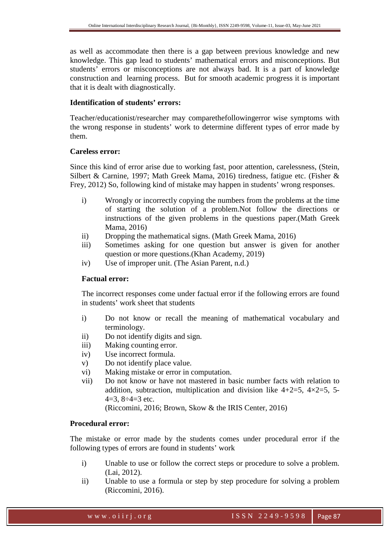as well as accommodate then there is a gap between previous knowledge and new knowledge. This gap lead to students' mathematical errors and misconceptions. But students' errors or misconceptions are not always bad. It is a part of knowledge construction and learning process. But for smooth academic progress it is important that it is dealt with diagnostically.

#### **Identification of students' errors:**

Teacher/educationist/researcher may comparethefollowingerror wise symptoms with the wrong response in students' work to determine different types of error made by them.

#### **Careless error:**

Since this kind of error arise due to working fast, poor attention, carelessness, (Stein, Silbert & Carnine, 1997; Math Greek Mama, 2016) tiredness, fatigue etc. (Fisher & Frey, 2012) So, following kind of mistake may happen in students' wrong responses.

- i) Wrongly or incorrectly copying the numbers from the problems at the time of starting the solution of a problem.Not follow the directions or instructions of the given problems in the questions paper.(Math Greek Mama, 2016)
- ii) Dropping the mathematical signs. (Math Greek Mama, 2016)
- iii) Sometimes asking for one question but answer is given for another question or more questions.(Khan Academy, 2019)
- iv) Use of improper unit. (The Asian Parent, n.d.)

#### **Factual error:**

The incorrect responses come under factual error if the following errors are found in students' work sheet that students

- i) Do not know or recall the meaning of mathematical vocabulary and terminology.
- ii) Do not identify digits and sign.
- iii) Making counting error.
- iv) Use incorrect formula.
- v) Do not identify place value.
- vi) Making mistake or error in computation.
- vii) Do not know or have not mastered in basic number facts with relation to addition, subtraction, multiplication and division like  $4+2=5$ ,  $4\times2=5$ , 5-4=3,  $8 \div 4 = 3$  etc.

(Riccomini, 2016; Brown, Skow & the IRIS Center, 2016)

# **Procedural error:**

The mistake or error made by the students comes under procedural error if the following types of errors are found in students' work

- i) Unable to use or follow the correct steps or procedure to solve a problem. (Lai, 2012).
- ii) Unable to use a formula or step by step procedure for solving a problem (Riccomini, 2016).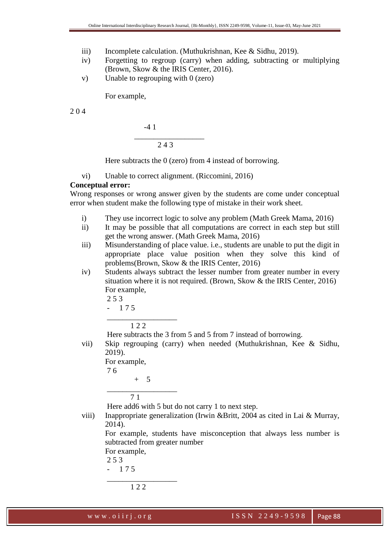- iii) Incomplete calculation. (Muthukrishnan, Kee & Sidhu, 2019).
- iv) Forgetting to regroup (carry) when adding, subtracting or multiplying (Brown, Skow & the IRIS Center, 2016).
- v) Unable to regrouping with 0 (zero)

For example,

2 0 4

$$
\begin{array}{c}\n -41 \\
\hline\n 243\n \end{array}
$$

Here subtracts the 0 (zero) from 4 instead of borrowing.

vi) Unable to correct alignment. (Riccomini, 2016)

#### **Conceptual error:**

Wrong responses or wrong answer given by the students are come under conceptual error when student make the following type of mistake in their work sheet.

- i) They use incorrect logic to solve any problem (Math Greek Mama, 2016)
- ii) It may be possible that all computations are correct in each step but still get the wrong answer. (Math Greek Mama, 2016)
- iii) Misunderstanding of place value. i.e., students are unable to put the digit in appropriate place value position when they solve this kind of problems(Brown, Skow & the IRIS Center, 2016)
- iv) Students always subtract the lesser number from greater number in every situation where it is not required. (Brown, Skow & the IRIS Center, 2016) For example,
	- 2 5 3
	- 1 7 5

1 2 2

 $\overline{\phantom{a}}$  , we can assume that the contract of  $\overline{\phantom{a}}$ 

Here subtracts the 3 from 5 and 5 from 7 instead of borrowing.

vii) Skip regrouping (carry) when needed (Muthukrishnan, Kee & Sidhu, 2019).

```
For example,
```

```
 7 6
```

```
 + 5 
__________________
```

$$
7\;1
$$

Here add6 with 5 but do not carry 1 to next step.

viii) Inappropriate generalization (Irwin &Britt, 2004 as cited in Lai & Murray, 2014).

For example, students have misconception that always less number is subtracted from greater number

For example,

2 5 3

 $-175$ 

```
 __________________ 
       1 2 2
```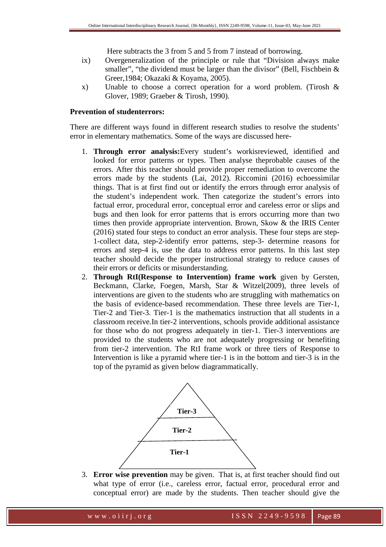Here subtracts the 3 from 5 and 5 from 7 instead of borrowing.

- ix) Overgeneralization of the principle or rule that "Division always make smaller", "the dividend must be larger than the divisor" (Bell, Fischbein  $\&$ Greer,1984; Okazaki & Koyama, 2005).
- x) Unable to choose a correct operation for a word problem. (Tirosh & Glover, 1989; Graeber & Tirosh, 1990).

# **Prevention of studenterrors:**

There are different ways found in different research studies to resolve the students' error in elementary mathematics. Some of the ways are discussed here-

- 1. **Through error analysis:**Every student's workisreviewed, identified and looked for error patterns or types. Then analyse theprobable causes of the errors. After this teacher should provide proper remediation to overcome the errors made by the students (Lai, 2012). Riccomini (2016) echoessimilar things. That is at first find out or identify the errors through error analysis of the student's independent work. Then categorize the student's errors into factual error, procedural error, conceptual error and careless error or slips and bugs and then look for error patterns that is errors occurring more than two times then provide appropriate intervention. Brown, Skow & the IRIS Center (2016) stated four steps to conduct an error analysis. These four steps are step-1-collect data, step-2-identify error patterns, step-3- determine reasons for errors and step-4 is, use the data to address error patterns. In this last step teacher should decide the proper instructional strategy to reduce causes of their errors or deficits or misunderstanding.
- 2. **Through RtI(Response to Intervention) frame work** given by Gersten, Beckmann, Clarke, Foegen, Marsh, Star & Witzel(2009), three levels of interventions are given to the students who are struggling with mathematics on the basis of evidence-based recommendation. These three levels are Tier-1, Tier-2 and Tier-3. Tier-1 is the mathematics instruction that all students in a classroom receive.In tier-2 interventions, schools provide additional assistance for those who do not progress adequately in tier-1. Tier-3 interventions are provided to the students who are not adequately progressing or benefiting from tier-2 intervention. The RtI frame work or three tiers of Response to Intervention is like a pyramid where tier-1 is in the bottom and tier-3 is in the top of the pyramid as given below diagrammatically.



3. **Error wise prevention** may be given. That is, at first teacher should find out what type of error (i.e., careless error, factual error, procedural error and conceptual error) are made by the students. Then teacher should give the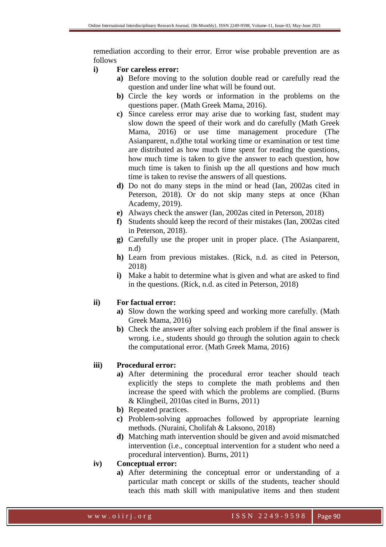remediation according to their error. Error wise probable prevention are as follows

### **i) For careless error:**

- **a)** Before moving to the solution double read or carefully read the question and under line what will be found out.
- **b)** Circle the key words or information in the problems on the questions paper. (Math Greek Mama, 2016).
- **c)** Since careless error may arise due to working fast, student may slow down the speed of their work and do carefully (Math Greek Mama, 2016) or use time management procedure (The Asianparent, n.d)the total working time or examination or test time are distributed as how much time spent for reading the questions, how much time is taken to give the answer to each question, how much time is taken to finish up the all questions and how much time is taken to revise the answers of all questions.
- **d)** Do not do many steps in the mind or head (Ian, 2002as cited in Peterson, 2018). Or do not skip many steps at once (Khan Academy, 2019).
- **e)** Always check the answer (Ian, 2002as cited in Peterson, 2018)
- **f)** Students should keep the record of their mistakes (Ian, 2002as cited in Peterson, 2018).
- **g)** Carefully use the proper unit in proper place. (The Asianparent, n.d)
- **h)** Learn from previous mistakes. (Rick, n.d. as cited in Peterson, 2018)
- **i)** Make a habit to determine what is given and what are asked to find in the questions. (Rick, n.d. as cited in Peterson, 2018)

# **ii) For factual error:**

- **a)** Slow down the working speed and working more carefully. (Math Greek Mama, 2016)
- **b)** Check the answer after solving each problem if the final answer is wrong. i.e., students should go through the solution again to check the computational error. (Math Greek Mama, 2016)

# **iii) Procedural error:**

- **a)** After determining the procedural error teacher should teach explicitly the steps to complete the math problems and then increase the speed with which the problems are complied. (Burns & Klingbeil, 2010as cited in Burns, 2011)
- **b)** Repeated practices.
- **c)** Problem-solving approaches followed by appropriate learning methods. (Nuraini, Cholifah & Laksono, 2018)
- **d)** Matching math intervention should be given and avoid mismatched intervention (i.e., conceptual intervention for a student who need a procedural intervention). Burns, 2011)

# **iv) Conceptual error:**

**a)** After determining the conceptual error or understanding of a particular math concept or skills of the students, teacher should teach this math skill with manipulative items and then student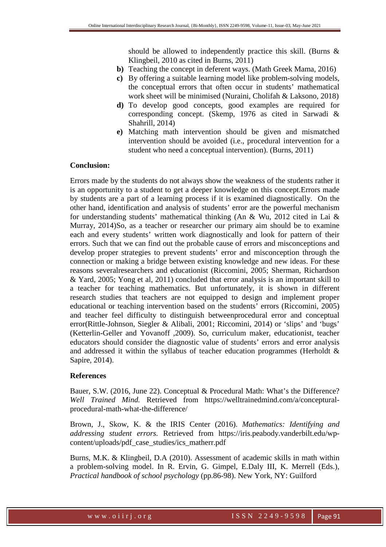should be allowed to independently practice this skill. (Burns & Klingbeil, 2010 as cited in Burns, 2011)

- **b)** Teaching the concept in deferent ways. (Math Greek Mama, 2016)
- **c)** By offering a suitable learning model like problem-solving models, the conceptual errors that often occur in students' mathematical work sheet will be minimised (Nuraini, Cholifah & Laksono, 2018)
- **d)** To develop good concepts, good examples are required for corresponding concept. (Skemp, 1976 as cited in Sarwadi & Shahrill, 2014)
- **e)** Matching math intervention should be given and mismatched intervention should be avoided (i.e., procedural intervention for a student who need a conceptual intervention). (Burns, 2011)

#### **Conclusion:**

Errors made by the students do not always show the weakness of the students rather it is an opportunity to a student to get a deeper knowledge on this concept.Errors made by students are a part of a learning process if it is examined diagnostically. On the other hand, identification and analysis of students' error are the powerful mechanism for understanding students' mathematical thinking (An & Wu, 2012 cited in Lai & Murray, 2014)So, as a teacher or researcher our primary aim should be to examine each and every students' written work diagnostically and look for pattern of their errors. Such that we can find out the probable cause of errors and misconceptions and develop proper strategies to prevent students' error and misconception through the connection or making a bridge between existing knowledge and new ideas. For these reasons severalresearchers and educationist (Riccomini, 2005; Sherman, Richardson & Yard, 2005; Yong et al, 2011) concluded that error analysis is an important skill to a teacher for teaching mathematics. But unfortunately, it is shown in different research studies that teachers are not equipped to design and implement proper educational or teaching intervention based on the students' errors (Riccomini, 2005) and teacher feel difficulty to distinguish betweenprocedural error and conceptual error(Rittle-Johnson, Siegler & Alibali, 2001; Riccomini, 2014) or 'slips' and 'bugs' (Ketterlin-Geller and Yovanoff ,2009). So, curriculum maker, educationist, teacher educators should consider the diagnostic value of students' errors and error analysis and addressed it within the syllabus of teacher education programmes (Herholdt & Sapire, 2014).

#### **References**

Bauer, S.W. (2016, June 22). Conceptual & Procedural Math: What's the Difference? *Well Trained Mind.* Retrieved from https://welltrainedmind.com/a/concepturalprocedural-math-what-the-difference/

Brown, J., Skow, K. & the IRIS Center (2016). *Mathematics: Identifying and addressing student errors.* Retrieved from https://iris.peabody.vanderbilt.edu/wpcontent/uploads/pdf\_case\_studies/ics\_matherr.pdf

Burns, M.K. & Klingbeil, D.A (2010). Assessment of academic skills in math within a problem-solving model. In R. Ervin, G. Gimpel, E.Daly III, K. Merrell (Eds.), *Practical handbook of school psychology* (pp.86-98). New York, NY: Guilford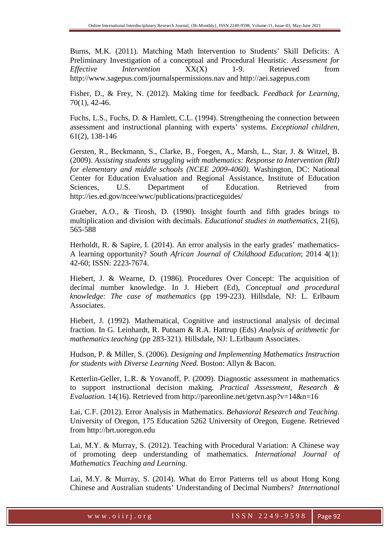Burns, M.K. (2011). Matching Math Intervention to Students' Skill Deficits: A Preliminary Investigation of a conceptual and Procedural Heuristic. *Assessment for Effective Intervention*  $XX(X)$  1-9. Retrieved from http://www.sagepus.com/journalspermissions.nav and http://aei.sagepus.com

Fisher, D., & Frey, N. (2012). Making time for feedback. *Feedback for Learning*, 70(1), 42-46.

Fuchs, L.S., Fuchs, D. & Hamlett, C.L. (1994). Strengthening the connection between assessment and instructional planning with experts' systems. *Exceptional children*, 61(2), 138-146

Gersten, R., Beckmann, S., Clarke, B., Foegen, A., Marsh, L., Star, J. & Witzel, B. (2009). *Assisting students struggling with mathematics: Response to Intervention (RtI) for elementary and middle schools (NCEE 2009-4060).* Washington, DC: National Center for Education Evaluation and Regional Assistance, Institute of Education Sciences, U.S. Department of Education. Retrieved from http://ies.ed.gov/ncee/wwc/publications/practiceguides/

Graeber, A.O., & Tirosh, D. (1990). Insight fourth and fifth grades brings to multiplication and division with decimals. *Educational studies in mathematics*, 21(6), 565-588

Herholdt, R. & Sapire, I. (2014). An error analysis in the early grades' mathematics-A learning opportunity? *South African Journal of Childhood Education*; 2014 4(1): 42-60; ISSN: 2223-7674.

Hiebert, J. & Wearne, D. (1986). Procedures Over Concept: The acquisition of decimal number knowledge. In J. Hiebert (Ed), *Conceptual and procedural knowledge: The case of mathematics* (pp 199-223). Hillsdale, NJ: L. Erlbaum Associates.

Hiebert, J. (1992). Mathematical, Cognitive and instructional analysis of decimal fraction. In G. Leinhardt, R. Putnam & R.A. Hattrup (Eds) *Analysis of arithmetic for mathematics teaching* (pp 283-321). Hillsdale, NJ: L.Erlbaum Associates.

Hudson, P. & Miller, S. (2006). *Designing and Implementing Mathematics Instruction for students with Diverse Learning Need.* Boston: Allyn & Bacon.

Ketterlin-Geller, L.R. & Yovanoff, P. (2009). Diagnostic assessment in mathematics to support instructional decision making. *Practical Assessment, Research & Evaluation.* 14(16). Retrieved from http://pareonline.net/getvn.asp?v=14&n=16

Lai, C.F. (2012). Error Analysis in Mathematics. *Behavioral Research and Teaching*. University of Oregon, 175 Education 5262 University of Oregon, Eugene. Retrieved from http://brt.uoregon.edu

Lai, M.Y. & Murray, S. (2012). Teaching with Procedural Variation: A Chinese way of promoting deep understanding of mathematics*. International Journal of Mathematics Teaching and Learning.* 

Lai, M.Y. & Murray, S. (2014). What do Error Patterns tell us about Hong Kong Chinese and Australian students' Understanding of Decimal Numbers? *International*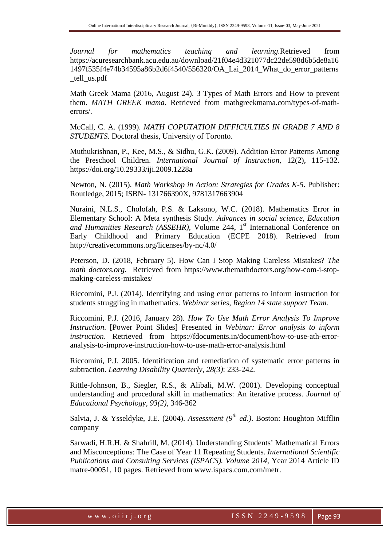*Journal for mathematics teaching and learning.*Retrieved from https://acuresearchbank.acu.edu.au/download/21f04e4d321077dc22de598d6b5de8a16 1497f535f4e74b34595a86b2d6f4540/556320/OA\_Lai\_2014\_What\_do\_error\_patterns \_tell\_us.pdf

Math Greek Mama (2016, August 24). 3 Types of Math Errors and How to prevent them. *MATH GREEK mama*. Retrieved from mathgreekmama.com/types-of-matherrors/.

McCall, C. A. (1999). *MATH COPUTATION DIFFICULTIES IN GRADE 7 AND 8 STUDENTS.* Doctoral thesis, University of Toronto.

Muthukrishnan, P., Kee, M.S., & Sidhu, G.K. (2009). Addition Error Patterns Among the Preschool Children. *International Journal of Instruction*, 12(2), 115-132. https://doi.org/10.29333/iji.2009.1228a

Newton, N. (2015). *Math Workshop in Action: Strategies for Grades K-5*. Publisher: Routledge, 2015; ISBN- 131766390X, 9781317663904

Nuraini, N.L.S., Cholofah, P.S. & Laksono, W.C. (2018). Mathematics Error in Elementary School: A Meta synthesis Study. *Advances in social science, Education*  and Humanities Research (ASSEHR), Volume 244, 1<sup>st</sup> International Conference on Early Childhood and Primary Education (ECPE 2018). Retrieved from http://creativecommons.org/licenses/by-nc/4.0/

Peterson, D. (2018, February 5). How Can I Stop Making Careless Mistakes? *The math doctors.org*. Retrieved from https://www.themathdoctors.org/how-com-i-stopmaking-careless-mistakes/

Riccomini, P.J. (2014). Identifying and using error patterns to inform instruction for students struggling in mathematics. *Webinar series, Region 14 state support Team.* 

Riccomini, P.J. (2016, January 28). *How To Use Math Error Analysis To Improve Instruction*. [Power Point Slides] Presented in *Webinar: Error analysis to inform instruction*. Retrieved from https://fdocuments.in/document/how-to-use-ath-erroranalysis-to-improve-instruction-how-to-use-math-error-analysis.html

Riccomini, P.J. 2005. Identification and remediation of systematic error patterns in subtraction. *Learning Disability Quarterly, 28(3)*: 233-242.

Rittle-Johnson, B., Siegler, R.S., & Alibali, M.W. (2001). Developing conceptual understanding and procedural skill in mathematics: An iterative process. *Journal of Educational Psychology, 93(2)*, 346-362

Salvia, J. & Ysseldyke, J.E. (2004). *Assessment (9th ed.)*. Boston: Houghton Mifflin company

Sarwadi, H.R.H. & Shahrill, M. (2014). Understanding Students' Mathematical Errors and Misconceptions: The Case of Year 11 Repeating Students. *International Scientific Publications and Consulting Services (ISPACS). Volume 2014,* Year 2014 Article ID matre-00051, 10 pages. Retrieved from www.ispacs.com.com/metr.